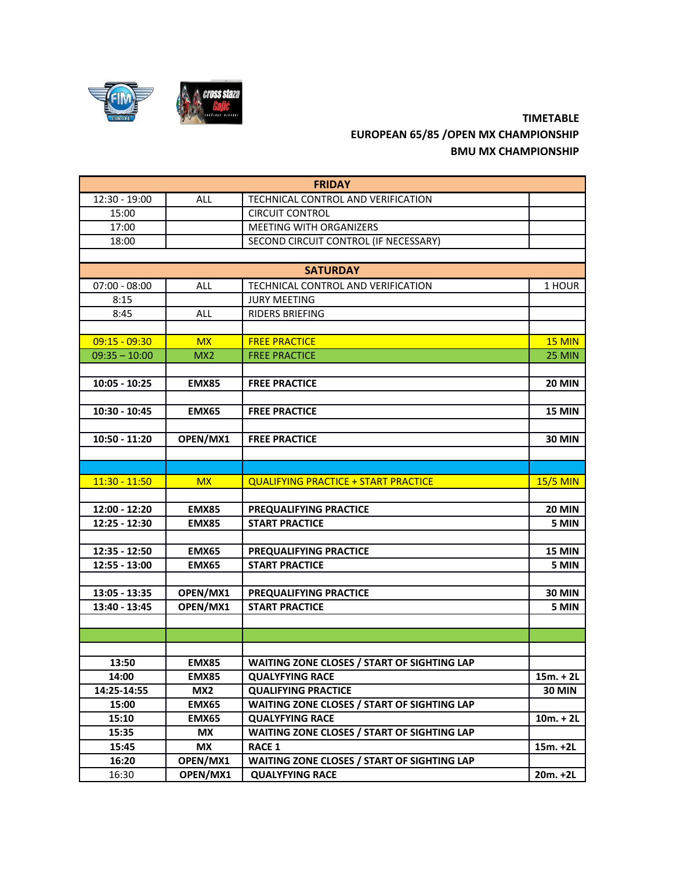

## **TIMETABLE EUROPEAN 65/85 /OPEN MX CHAMPIONSHIP BMU MX CHAMPIONSHIP**

| <b>FRIDAY</b>   |                 |                                             |                 |  |  |
|-----------------|-----------------|---------------------------------------------|-----------------|--|--|
| 12:30 - 19:00   | ALL             | TECHNICAL CONTROL AND VERIFICATION          |                 |  |  |
| 15:00           |                 | <b>CIRCUIT CONTROL</b>                      |                 |  |  |
| 17:00           |                 | <b>MEETING WITH ORGANIZERS</b>              |                 |  |  |
| 18:00           |                 | SECOND CIRCUIT CONTROL (IF NECESSARY)       |                 |  |  |
|                 |                 |                                             |                 |  |  |
| <b>SATURDAY</b> |                 |                                             |                 |  |  |
| $07:00 - 08:00$ | <b>ALL</b>      | TECHNICAL CONTROL AND VERIFICATION          | 1 HOUR          |  |  |
| 8:15            |                 | <b>JURY MEETING</b>                         |                 |  |  |
| 8:45            | <b>ALL</b>      | RIDERS BRIEFING                             |                 |  |  |
|                 |                 |                                             |                 |  |  |
| $09:15 - 09:30$ | <b>MX</b>       | <b>FREE PRACTICE</b>                        | <b>15 MIN</b>   |  |  |
| $09:35 - 10:00$ | MX <sub>2</sub> | <b>FREE PRACTICE</b>                        | <b>25 MIN</b>   |  |  |
|                 |                 |                                             |                 |  |  |
| $10:05 - 10:25$ | <b>EMX85</b>    | <b>FREE PRACTICE</b>                        | <b>20 MIN</b>   |  |  |
|                 |                 |                                             |                 |  |  |
| 10:30 - 10:45   | <b>EMX65</b>    | <b>FREE PRACTICE</b>                        | <b>15 MIN</b>   |  |  |
|                 |                 |                                             |                 |  |  |
| 10:50 - 11:20   | OPEN/MX1        | <b>FREE PRACTICE</b>                        | <b>30 MIN</b>   |  |  |
|                 |                 |                                             |                 |  |  |
|                 |                 |                                             |                 |  |  |
| $11:30 - 11:50$ | <b>MX</b>       | <b>QUALIFYING PRACTICE + START PRACTICE</b> | <b>15/5 MIN</b> |  |  |
|                 |                 |                                             |                 |  |  |
| 12:00 - 12:20   | <b>EMX85</b>    | PREQUALIFYING PRACTICE                      | <b>20 MIN</b>   |  |  |
| 12:25 - 12:30   | <b>EMX85</b>    | <b>START PRACTICE</b>                       | 5 MIN           |  |  |
|                 |                 |                                             |                 |  |  |
| 12:35 - 12:50   | <b>EMX65</b>    | PREQUALIFYING PRACTICE                      | <b>15 MIN</b>   |  |  |
| 12:55 - 13:00   | <b>EMX65</b>    | <b>START PRACTICE</b>                       | 5 MIN           |  |  |
|                 |                 |                                             |                 |  |  |
| 13:05 - 13:35   | OPEN/MX1        | PREQUALIFYING PRACTICE                      | <b>30 MIN</b>   |  |  |
| 13:40 - 13:45   | OPEN/MX1        | <b>START PRACTICE</b>                       | 5 MIN           |  |  |
|                 |                 |                                             |                 |  |  |
|                 |                 |                                             |                 |  |  |
|                 |                 |                                             |                 |  |  |
| 13:50           | <b>EMX85</b>    | WAITING ZONE CLOSES / START OF SIGHTING LAP |                 |  |  |
| 14:00           | <b>EMX85</b>    | <b>QUALYFYING RACE</b>                      | $15m. + 2L$     |  |  |
| 14:25-14:55     | MX <sub>2</sub> | <b>QUALIFYING PRACTICE</b>                  | <b>30 MIN</b>   |  |  |
| 15:00           | <b>EMX65</b>    | WAITING ZONE CLOSES / START OF SIGHTING LAP |                 |  |  |
| 15:10           | <b>EMX65</b>    | <b>QUALYFYING RACE</b>                      | $10m. + 2L$     |  |  |
| 15:35           | МX              | WAITING ZONE CLOSES / START OF SIGHTING LAP |                 |  |  |
| 15:45           | <b>MX</b>       | <b>RACE 1</b>                               | $15m. +2L$      |  |  |
| 16:20           | OPEN/MX1        | WAITING ZONE CLOSES / START OF SIGHTING LAP |                 |  |  |
| 16:30           | OPEN/MX1        | <b>QUALYFYING RACE</b>                      | $20m. +2L$      |  |  |